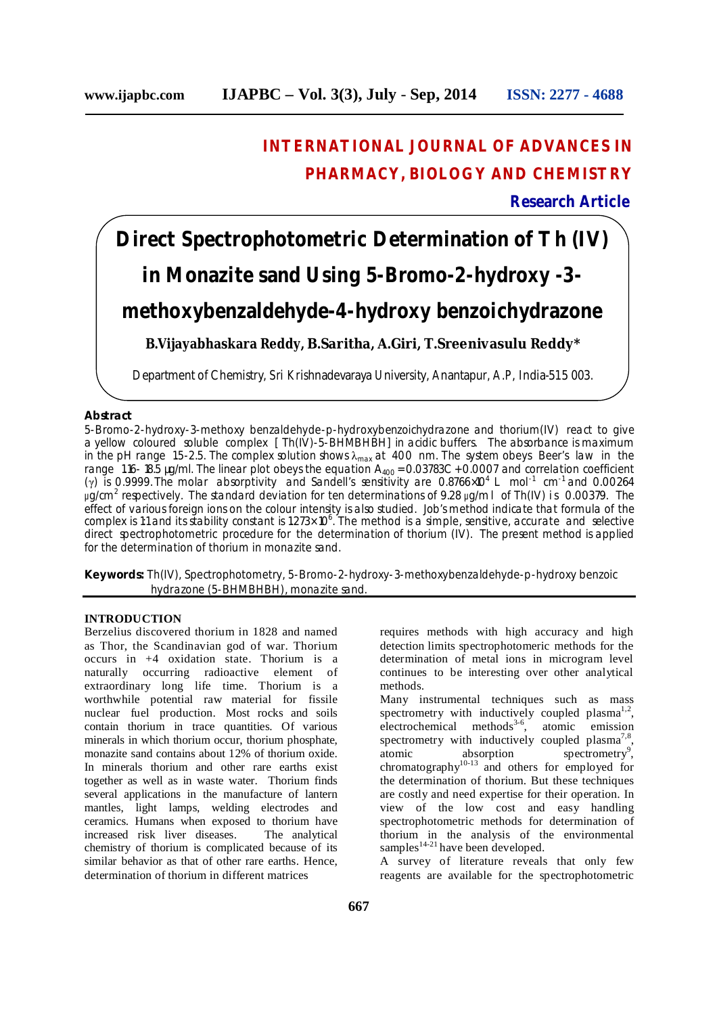## **INTERNATIONAL JOURNAL OF ADVANCES IN PHARMACY, BIOLOGY AND CHEMISTRY**

**Research Article**

# **Direct Spectrophotometric Determination of Th (IV) in Monazite sand Using 5-Bromo-2-hydroxy -3-**

### **methoxybenzaldehyde-4-hydroxy benzoichydrazone**

**B.Vijayabhaskara Reddy, B.Saritha, A.Giri, T.Sreenivasulu Reddy\***

Department of Chemistry, Sri Krishnadevaraya University, Anantapur, A.P, India-515 003.

### **Abstract**

5-Bromo-2-hydroxy-3-methoxy benzaldehyde-p-hydroxybenzoichydrazone and thorium(IV) react to give a yellow coloured soluble complex [Th(IV)-5-BHMBHBH] in acidic buffers. The absorbance is maximum in the pH range 1.5-2.5. The complex solution shows  $\lambda_{\text{max}}$  at 400 nm. The system obeys Beer's law in the range 1.16-18.5 µg/ml. The linear plot obeys the equation A<sub>400</sub> = 0.03783C + 0.0007 and correlation coefficient (γ) is 0.9999. The molar absorptivity and Sandell's sensitivity are 0.8766×10<sup>4</sup> L mol<sup>-1</sup> cm<sup>-1</sup> and 0.00264 μg/cm<sup>2</sup> respectively. The standard deviation for ten determinations of 9.28 μg/ml of Th(IV) is 0.00379. The effect of various foreign ions on the colour intensity is also studied. Job's method indicate that formula of the complex is 1:1 and its stability constant is 1.273×10<sup>6</sup>. The method is a simple, sensitive, accurate and selective direct spectrophotometric procedure for the determination of thorium (IV). The present method is applied for the determination of thorium in monazite sand.

**Keywords:** Th(IV), Spectrophotometry, 5-Bromo-2-hydroxy-3-methoxybenzaldehyde-p-hydroxy benzoic hydrazone (5-BHMBHBH), monazite sand.

### **INTRODUCTION**

Berzelius discovered thorium in 1828 and named as Thor, the Scandinavian god of war. Thorium occurs in +4 oxidation state. Thorium is a naturally occurring radioactive element of extraordinary long life time. Thorium is a worthwhile potential raw material for fissile nuclear fuel production. Most rocks and soils contain thorium in trace quantities. Of various minerals in which thorium occur, thorium phosphate, monazite sand contains about 12% of thorium oxide. In minerals thorium and other rare earths exist together as well as in waste water. Thorium finds several applications in the manufacture of lantern mantles, light lamps, welding electrodes and ceramics. Humans when exposed to thorium have increased risk liver diseases. The analytical chemistry of thorium is complicated because of its similar behavior as that of other rare earths. Hence, determination of thorium in different matrices

requires methods with high accuracy and high detection limits spectrophotomeric methods for the determination of metal ions in microgram level continues to be interesting over other analytical methods.

Many instrumental techniques such as mass spectrometry with inductively coupled plasma<sup>1,2</sup>, electrochemical methods 3-6 , atomic emission spectrometry with inductively coupled plasma<sup>7,8</sup>, atomic absorption spectrometry 9 , chromatography $10-13$  and others for employed for the determination of thorium. But these techniques are costly and need expertise for their operation. In view of the low cost and easy handling spectrophotometric methods for determination of thorium in the analysis of the environmental samples<sup>14-21</sup> have been developed.

A survey of literature reveals that only few reagents are available for the spectrophotometric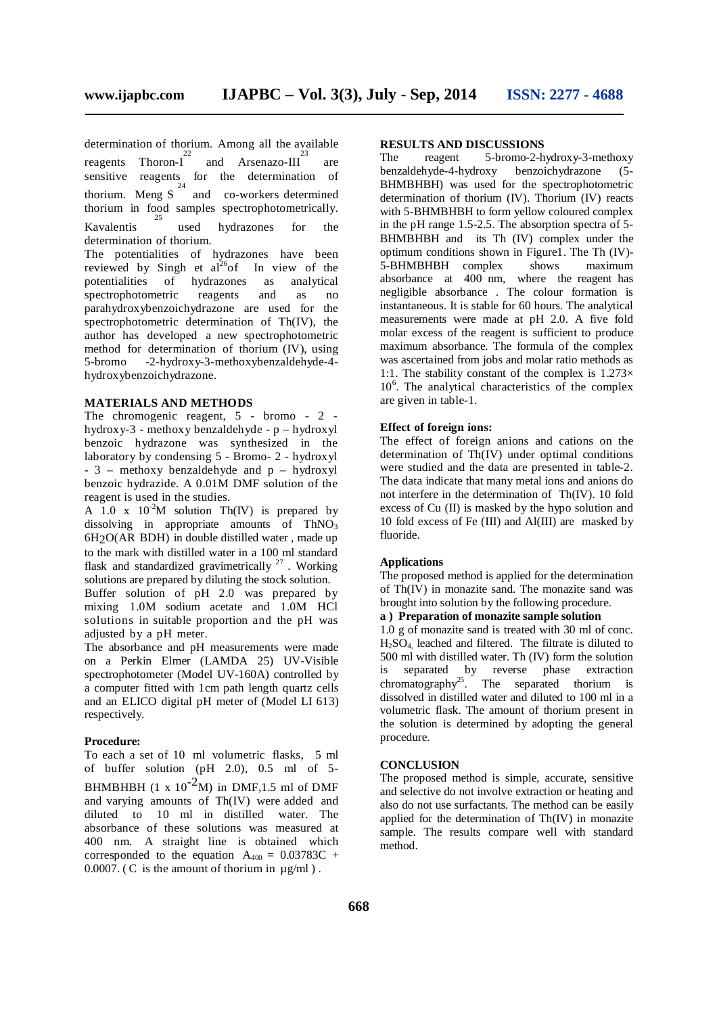determination of thorium. Among all the available  $\frac{22}{23}$ reagents Thoron-I and Arsenazo-III are sensitive reagents for the determination of thorium. Meng  $S^2$  and co-workers determined thorium in food samples spectrophotometrically. Kavalentis 25 used hydrazones for the determination of thorium.

The potentialities of hydrazones have been reviewed by Singh et  $al^{26}$ of In view of the potentialities of hydrazones as analytical spectrophotometric reagents and as no parahydroxybenzoichydrazone are used for the spectrophotometric determination of Th(IV), the author has developed a new spectrophotometric method for determination of thorium (IV), using 5-bromo -2-hydroxy-3-methoxybenzaldehyde-4 hydroxybenzoichydrazone.

### **MATERIALS AND METHODS**

The chromogenic reagent, 5 - bromo - 2 hydroxy-3 - methoxy benzaldehyde - p – hydroxyl benzoic hydrazone was synthesized in the laboratory by condensing 5 - Bromo- 2 - hydroxyl - 3 – methoxy benzaldehyde and p – hydroxyl benzoic hydrazide. A 0.01M DMF solution of the reagent is used in the studies.

A  $1.0 \text{ x } 10^{-2} \text{M}$  solution Th(IV) is prepared by dissolving in appropriate amounts of  $ThNO<sub>3</sub>$ 6H2O(AR BDH) in double distilled water , made up to the mark with distilled water in a 100 ml standard flask and standardized gravimetrically<sup>27</sup>. Working solutions are prepared by diluting the stock solution.

Buffer solution of pH 2.0 was prepared by mixing 1.0M sodium acetate and 1.0M HCl solutions in suitable proportion and the pH was adjusted by a pH meter.

The absorbance and pH measurements were made on a Perkin Elmer (LAMDA 25) UV-Visible spectrophotometer (Model UV-160A) controlled by a computer fitted with 1cm path length quartz cells and an ELICO digital pH meter of (Model LI 613) respectively.

#### **Procedure:**

To each a set of 10 ml volumetric flasks, 5 ml of buffer solution (pH 2.0), 0.5 ml of 5- BHMBHBH  $(1 \times 10^{-2}M)$  in DMF, 1.5 ml of DMF and varying amounts of Th(IV) were added and diluted to 10 ml in distilled water. The absorbance of these solutions was measured at 400 nm. A straight line is obtained which corresponded to the equation  $A_{400} = 0.03783C +$  $0.0007$ . (C is the amount of thorium in  $\mu$ g/ml).

## **RESULTS AND DISCUSSIONS**

5-bromo-2-hydroxy-3-methoxy<br>y benzoichydrazone (5benzaldehyde-4-hydroxy benzoichydrazone (5- BHMBHBH) was used for the spectrophotometric determination of thorium (IV). Thorium (IV) reacts with 5-BHMBHBH to form yellow coloured complex in the pH range 1.5-2.5. The absorption spectra of 5- BHMBHBH and its Th (IV) complex under the optimum conditions shown in Figure1. The Th (IV)-<br>5-BHMBHBH complex shows maximum 5-BHMBHBH complex shows maximum absorbance at 400 nm, where the reagent has negligible absorbance . The colour formation is instantaneous. It is stable for 60 hours. The analytical measurements were made at pH 2.0. A five fold molar excess of the reagent is sufficient to produce maximum absorbance. The formula of the complex was ascertained from jobs and molar ratio methods as 1:1. The stability constant of the complex is  $1.273\times$ 10 6 . The analytical characteristics of the complex are given in table-1.

### **Effect of foreign ions:**

The effect of foreign anions and cations on the determination of Th(IV) under optimal conditions were studied and the data are presented in table-2. The data indicate that many metal ions and anions do not interfere in the determination of Th(IV). 10 fold excess of Cu (II) is masked by the hypo solution and 10 fold excess of Fe (III) and Al(III) are masked by fluoride.

### **Applications**

The proposed method is applied for the determination of  $\text{Th}(\overline{IV})$  in monazite sand. The monazite sand was brought into solution by the following procedure.

### **a ) Preparation of monazite sample solution**

1.0 g of monazite sand is treated with 30 ml of conc.  $H<sub>2</sub>SO<sub>4</sub>$ , leached and filtered. The filtrate is diluted to 500 ml with distilled water. Th (IV) form the solution<br>is separated by reverse phase extraction is separated by reverse phase extraction chromatography<sup>25</sup> separated thorium is dissolved in distilled water and diluted to 100 ml in a volumetric flask. The amount of thorium present in the solution is determined by adopting the general procedure.

#### **CONCLUSION**

The proposed method is simple, accurate, sensitive and selective do not involve extraction or heating and also do not use surfactants. The method can be easily applied for the determination of Th(IV) in monazite sample. The results compare well with standard method.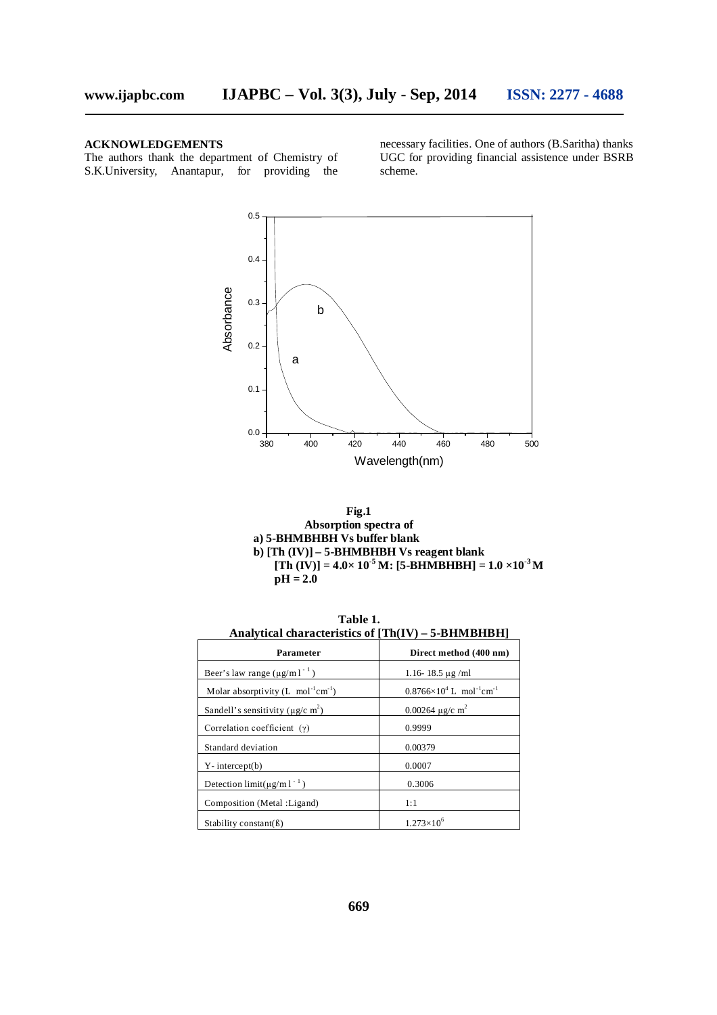### **ACKNOWLEDGEMENTS**

The authors thank the department of Chemistry of S.K.University, Anantapur, for providing the necessary facilities. One of authors (B.Saritha) thanks UGC for providing financial assistence under BSRB scheme.





| .<br>Analytical characteristics of $[Th(IV) - 5-BHMBHBH]$ |                                                           |  |  |  |
|-----------------------------------------------------------|-----------------------------------------------------------|--|--|--|
| Parameter                                                 | Direct method (400 nm)                                    |  |  |  |
| Beer's law range $(\mu g/m l^{-1})$                       | 1.16-18.5 $\mu$ g/ml                                      |  |  |  |
| Molar absorptivity $(L \text{ mol}^{-1} \text{cm}^{-1})$  | $0.8766 \times 10^4$ L mol <sup>-1</sup> cm <sup>-1</sup> |  |  |  |
| Sandell's sensitivity ( $\mu$ g/c m <sup>2</sup> )        | 0.00264 $\mu$ g/c m <sup>2</sup>                          |  |  |  |
| Correlation coefficient $(y)$                             | 0.9999                                                    |  |  |  |
| Standard deviation                                        | 0.00379                                                   |  |  |  |
| $Y$ - intercept $(b)$                                     | 0.0007                                                    |  |  |  |
| Detection $\lim_{\mu \to 0} (\mu g/m)^{-1}$ )             | 0.3006                                                    |  |  |  |
| Composition (Metal : Ligand)                              | 1:1                                                       |  |  |  |
| Stability constant(B)                                     | $1.273\times10^{6}$                                       |  |  |  |

**Table 1.**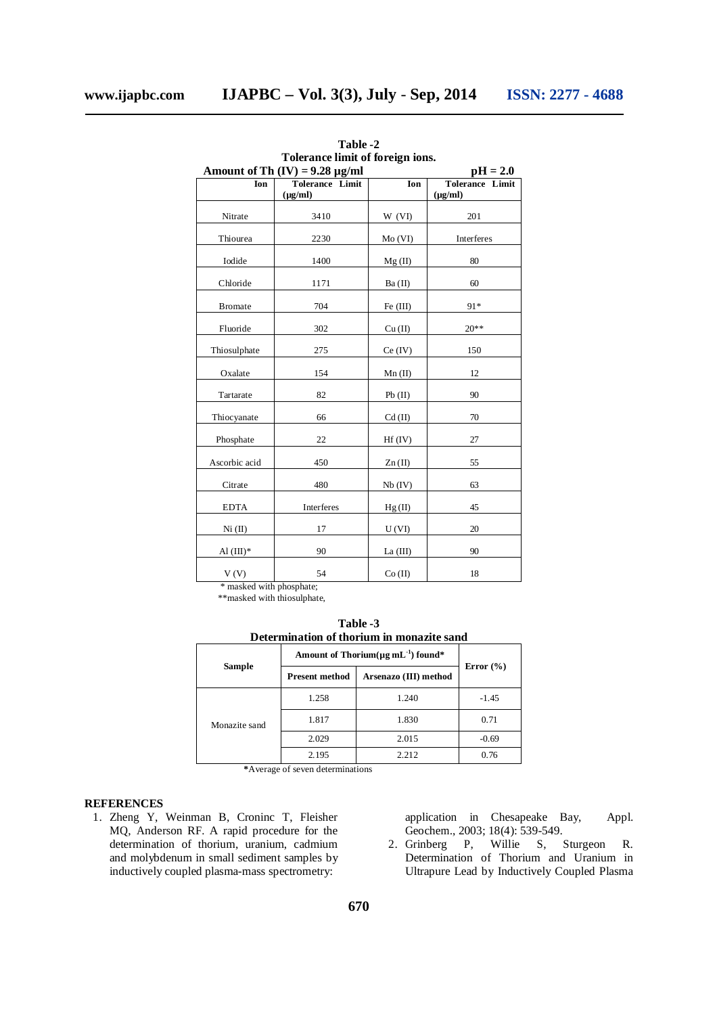| тоглансе ниш от готеват топу.<br>Amount of Th $(V) = 9.28 \mu g/ml$<br>$pH = 2.0$ |                 |                        |                 |  |  |
|-----------------------------------------------------------------------------------|-----------------|------------------------|-----------------|--|--|
| Ion                                                                               | Tolerance Limit | Ion                    | Tolerance Limit |  |  |
|                                                                                   | $(\mu g/ml)$    |                        | $(\mu g/ml)$    |  |  |
| Nitrate                                                                           | 3410            | W (VI)                 | 201             |  |  |
| Thiourea                                                                          | 2230            | Mo(VI)                 | Interferes      |  |  |
| Iodide                                                                            | 1400            | Mg(II)                 | 80              |  |  |
| Chloride                                                                          | 1171            | Ba (II)                | 60              |  |  |
| <b>Bromate</b>                                                                    | 704             | Fe (III)               | 91*             |  |  |
| Fluoride                                                                          | 302             | Cu (II)                | $20**$          |  |  |
| Thiosulphate                                                                      | 275             | Ce (IV)                | 150             |  |  |
| Oxalate                                                                           | 154             | $Mn$ (II)              | 12              |  |  |
| Tartarate                                                                         | 82              | Pb(II)                 | 90              |  |  |
| Thiocyanate                                                                       | 66              | $Cd$ (II)              | 70              |  |  |
| Phosphate                                                                         | 22              | $Hf$ (IV)              | 27              |  |  |
| Ascorbic acid                                                                     | 450             | $\text{Zn}(\text{II})$ | 55              |  |  |
| Citrate                                                                           | 480             | Nb (IV)                | 63              |  |  |
| <b>EDTA</b>                                                                       | Interferes      | Hg(II)                 | 45              |  |  |
| Ni (II)                                                                           | 17              | U(VI)                  | 20              |  |  |
| Al $(III)^*$                                                                      | 90              | La $(III)$             | 90              |  |  |
| V(V)                                                                              | 54              | Co (II)                | 18              |  |  |

**Table -2 Tolerance limit of foreign ions.**

\* masked with phosphate;

\*\*masked with thiosulphate,

**Table -3 Determination of thorium in monazite sand**

| Sample        | Amount of Thorium( $\mu$ g mL <sup>-1</sup> ) found* |                       |               |
|---------------|------------------------------------------------------|-----------------------|---------------|
|               | <b>Present method</b>                                | Arsenazo (III) method | Error $(\% )$ |
| Monazite sand | 1.258                                                | 1.240                 | $-1.45$       |
|               | 1.817                                                | 1.830                 | 0.71          |
|               | 2.029                                                | 2.015                 | $-0.69$       |
|               | 2.195                                                | 2.212                 | 0.76          |

**\***Average of seven determinations

### **REFERENCES**

1. Zheng Y, Weinman B, Croninc T, Fleisher MQ, Anderson RF. A rapid procedure for the determination of thorium, uranium, cadmium and molybdenum in small sediment samples by inductively coupled plasma-mass spectrometry:

application in Chesapeake Bay, Appl. Geochem., 2003; 18(4): 539-549.

2. Grinberg P, Willie S, Sturgeon R. Determination of Thorium and Uranium in Ultrapure Lead by Inductively Coupled Plasma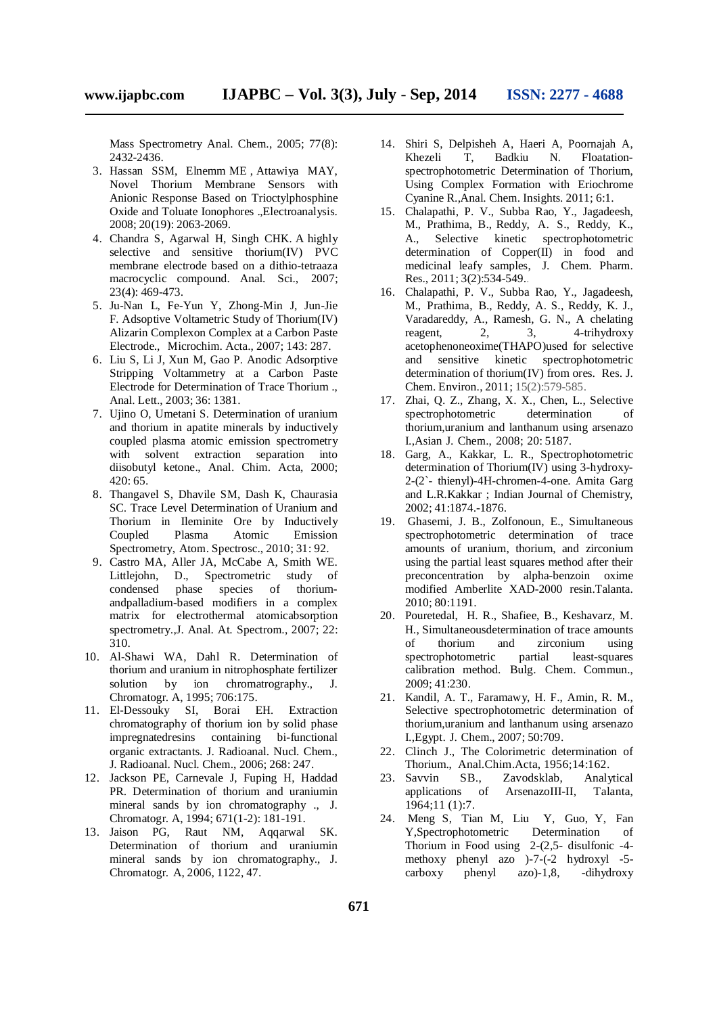Mass Spectrometry Anal. Chem., 2005; 77(8): 2432-2436.

- 3. Hassan SSM, Elnemm ME , Attawiya MAY, Novel Thorium Membrane Sensors with Anionic Response Based on Trioctylphosphine Oxide and Toluate Ionophores .,Electroanalysis. 2008; 20(19): 2063-2069.
- 4. Chandra S, Agarwal H, Singh CHK. A highly selective and sensitive thorium(IV) PVC membrane electrode based on a dithio-tetraaza macrocyclic compound. Anal. Sci., 2007; 23(4): 469-473.
- 5. Ju-Nan L, Fe-Yun Y, Zhong-Min J, Jun-Jie F. Adsoptive Voltametric Study of Thorium(IV) Alizarin Complexon Complex at a Carbon Paste Electrode., Microchim. Acta., 2007; 143: 287.
- 6. Liu S, Li J, Xun M, Gao P. Anodic Adsorptive Stripping Voltammetry at a Carbon Paste Electrode for Determination of Trace Thorium ., Anal. Lett., 2003; 36: 1381.
- 7. Ujino O, Umetani S. Determination of uranium and thorium in apatite minerals by inductively coupled plasma atomic emission spectrometry with solvent extraction separation into diisobutyl ketone., Anal. Chim. Acta, 2000; 420: 65.
- 8. Thangavel S, Dhavile SM, Dash K, Chaurasia SC. Trace Level Determination of Uranium and Thorium in Ileminite Ore by Inductively Coupled Plasma Atomic Emission Spectrometry, Atom. Spectrosc., 2010; 31: 92.
- 9. Castro MA, Aller JA, McCabe A, Smith WE. Littlejohn, D., Spectrometric study of condensed phase species of thoriumandpalladium-based modifiers in a complex matrix for electrothermal atomicabsorption spectrometry.,J. Anal. At. Spectrom., 2007; 22: 310.
- 10. Al-Shawi WA, Dahl R. Determination of thorium and uranium in nitrophosphate fertilizer solution by ion chromatrography., J. Chromatogr. A, 1995; 706:175.
- 11. El-Dessouky SI, Borai EH. Extraction chromatography of thorium ion by solid phase impregnatedresins containing bi-functional organic extractants. J. Radioanal. Nucl. Chem., J. Radioanal. Nucl. Chem., 2006; 268: 247.
- 12. Jackson PE, Carnevale J, Fuping H, Haddad PR. Determination of thorium and uraniumin mineral sands by ion chromatography ., J. Chromatogr. A, 1994; 671(1-2): 181-191.
- 13. Jaison PG, Raut NM, Aqqarwal SK. Determination of thorium and uraniumin mineral sands by ion chromatography., J. Chromatogr. A, 2006, 1122, 47.
- 14. Shiri S, Delpisheh A, Haeri A, Poornajah A, Khezeli T, Badkiu N. Floatationspectrophotometric Determination of Thorium, Using Complex Formation with Eriochrome Cyanine R.,Anal. Chem. Insights. 2011; 6:1.
- 15. Chalapathi, P. V., Subba Rao, Y., Jagadeesh, M., Prathima, B., Reddy, A. S., Reddy, K., Selective kinetic spectrophotometric determination of Copper(II) in food and medicinal leafy samples, J. Chem. Pharm. Res., 2011; 3(2):534-549..
- 16. Chalapathi, P. V., Subba Rao, Y., Jagadeesh, M., Prathima, B., Reddy, A. S., Reddy, K. J., Varadareddy, A., Ramesh, G. N., A chelating reagent, 2, 3, 4-trihydroxy acetophenoneoxime(THAPO)used for selective and sensitive kinetic spectrophotometric determination of thorium(IV) from ores. Res. J. Chem. Environ., 2011; 15(2):579-585.
- 17. Zhai, Q. Z., Zhang, X. X., Chen, L., Selective spectrophotometric determination of thorium,uranium and lanthanum using arsenazo I.,Asian J. Chem., 2008; 20: 5187.
- 18. Garg, A., Kakkar, L. R., Spectrophotometric determination of Thorium(IV) using 3-hydroxy-2-(2`- thienyl)-4H-chromen-4-one. Amita Garg and L.R.Kakkar ; Indian Journal of Chemistry, 2002; 41:1874.-1876.
- 19. Ghasemi, J. B., Zolfonoun, E., Simultaneous spectrophotometric determination of trace amounts of uranium, thorium, and zirconium using the partial least squares method after their preconcentration by alpha-benzoin oxime modified Amberlite XAD-2000 resin.Talanta. 2010; 80:1191.
- 20. Pouretedal, H. R., Shafiee, B., Keshavarz, M. H., Simultaneousdetermination of trace amounts of thorium and zirconium using spectrophotometric partial least-squares calibration method. Bulg. Chem. Commun., 2009; 41:230.
- 21. Kandil, A. T., Faramawy, H. F., Amin, R. M., Selective spectrophotometric determination of thorium,uranium and lanthanum using arsenazo I.,Egypt. J. Chem., 2007; 50:709.
- 22. Clinch J., The Colorimetric determination of Thorium., Anal.Chim.Acta, 1956;14:162.
- 23. Savvin SB., Zavodsklab, Analytical applications of ArsenazoIII-II, Talanta, 1964;11 (1):7.
- 24. Meng S, Tian M, Liu Y, Guo, Y, Fan Y,Spectrophotometric Determination of Thorium in Food using 2-(2,5- disulfonic -4 methoxy phenyl azo )-7-(-2 hydroxyl -5 carboxy phenyl azo)-1,8, -dihydroxy